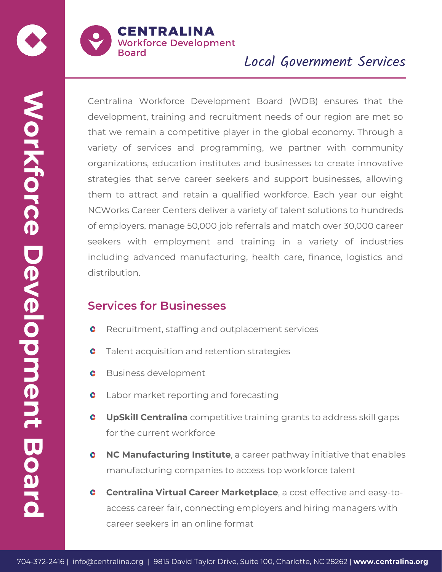

# Local Government Services

**Example 1981** entropy and received provides and proposed and the company of a contrast of an any entralism of the company organizations, equation in a company organization of the company of the company of the company of t Centralina Workforce Development Board (WDB) ensures that the development, training and recruitment needs of our region are met so that we remain a competitive player in the global economy. Through a variety of services and programming, we partner with community organizations, education institutes and businesses to create innovative strategies that serve career seekers and support businesses, allowing them to attract and retain a qualified workforce. Each year our eight NCWorks Career Centers deliver a variety of talent solutions to hundreds of employers, manage 50,000 job referrals and match over 30,000 career seekers with employment and training in a variety of industries including advanced manufacturing, health care, finance, logistics and distribution.

### **Services for Businesses**

- Recruitment, staffing and outplacement services
- Talent acquisition and retention strategies
- Business development
- Labor market reporting and forecasting
- **UpSkill Centralina** competitive training grants to address skill gaps for the current workforce
- **NC Manufacturing Institute**, a career pathway initiative that enables manufacturing companies to access top workforce talent
- **Centralina Virtual Career Marketplace**, a cost effective and easy-toaccess career fair, connecting employers and hiring managers with career seekers in an online format